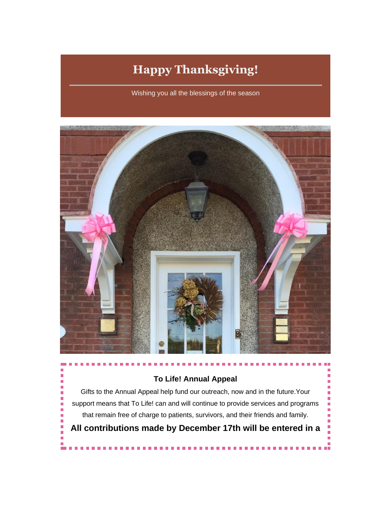# **Happy Thanksgiving!**

Wishing you all the blessings of the season



### **To Life! Annual Appeal**

Gifts to the Annual Appeal help fund our outreach, now and in the future.Your support means that To Life! can and will continue to provide services and programs that remain free of charge to patients, survivors, and their friends and family.

Ē.

**All contributions made by December 17th will be entered in a**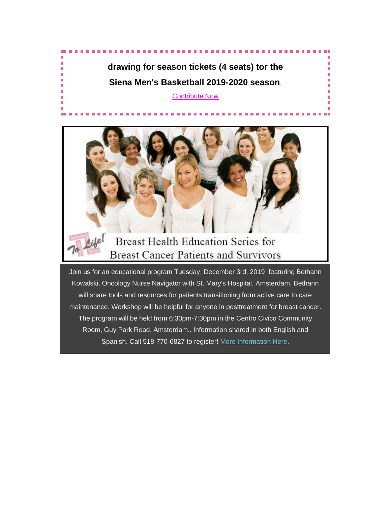## **drawing for season tickets (4 seats) tor the Siena Men's Basketball 2019-2020 season**.

#### *[Contribute Now](https://tolife.us5.list-manage.com/track/click?u=241d59b897b4121e9d2e15914&id=cda09fb017&e=d1f01208e2)*



Spanish. Call 518-770-6827 to register! [More Information Here.](https://tolife.us5.list-manage.com/track/click?u=241d59b897b4121e9d2e15914&id=1f29aa5741&e=d1f01208e2)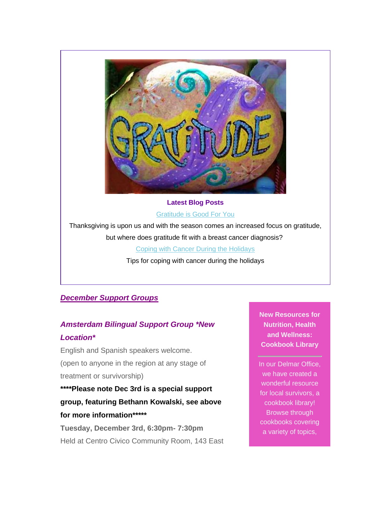

### **Latest Blog Posts** [Gratitude is Good For You](https://tolife.us5.list-manage.com/track/click?u=241d59b897b4121e9d2e15914&id=0f93a05e3c&e=d1f01208e2)

Thanksgiving is upon us and with the season comes an increased focus on gratitude, but where does gratitude fit with a breast cancer diagnosis?

[C](https://tolife.us5.list-manage.com/track/click?u=241d59b897b4121e9d2e15914&id=f46494bf07&e=d1f01208e2)[oping with Cancer During the Holidays](https://tolife.us5.list-manage.com/track/click?u=241d59b897b4121e9d2e15914&id=70bcf75057&e=d1f01208e2)

Tips for coping with cancer during the holidays

### *December Support Groups*

### *Amsterdam Bilingual Support Group \*New Location\**

English and Spanish speakers welcome. (open to anyone in the region at any stage of treatment or survivorship)

**\*\*\*\*Please note Dec 3rd is a special support group, featuring Bethann Kowalski, see above for more information\*\*\*\*\***

*Tuesday, December 3rd, 6:30pm- 7:30pm* Held at Centro Civico Community Room, 143 East **New Resources for Nutrition, Health and Wellness: Cookbook Library**

In our Delmar Office, we have created a wonderful resource for local survivors, a cookbook library! Browse through cookbooks covering a variety of topics,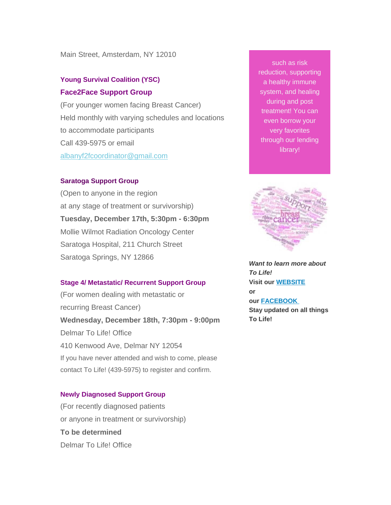Main Street, Amsterdam, NY 12010

### *Young Survival Coalition (YSC) Face2Face Support Group*

(For younger women facing Breast Cancer) Held monthly with varying schedules and locations to accommodate participants Call 439-5975 or email [albanyf2fcoordinator@gmail.com](mailto:albanyf2fcoordinator@gmail.com)

#### *Saratoga Support Group*

(Open to anyone in the region at any stage of treatment or survivorship) *Tuesday, December 17th, 5:30pm - 6:30pm* Mollie Wilmot Radiation Oncology Center Saratoga Hospital, 211 Church Street Saratoga Springs, NY 12866

#### *Stage 4/ Metastatic/ Recurrent Support Group*

(For women dealing with metastatic or recurring Breast Cancer) *Wednesday, December 18th, 7:30pm - 9:00pm* Delmar To Life! Office 410 Kenwood Ave, Delmar NY 12054 If you have never attended and wish to come, please contact To Life! (439-5975) to register and confirm.

#### *Newly Diagnosed Support Group*

(For recently diagnosed patients or anyone in treatment or survivorship) *To be determined* Delmar To Life! Office

such as risk reduction, supporting a healthy immune system, and healing during and post treatment! You can even borrow your very favorites through our lending library!



*Want to learn more about To Life!* **Visit our [WEBSITE](https://tolife.us5.list-manage.com/track/click?u=241d59b897b4121e9d2e15914&id=dd831dcdad&e=d1f01208e2) or our [FACEBOOK](https://tolife.us5.list-manage.com/track/click?u=241d59b897b4121e9d2e15914&id=6ac967b8dc&e=d1f01208e2) Stay updated on all things To Life!**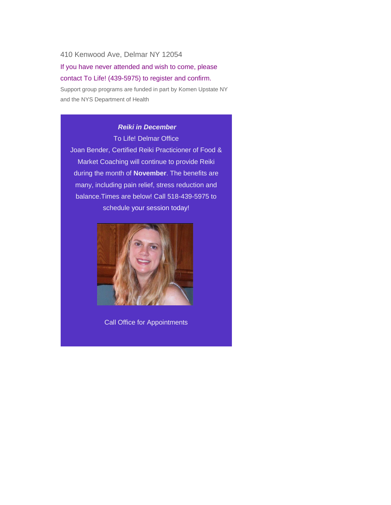#### 410 Kenwood Ave, Delmar NY 12054

If you have never attended and wish to come, please contact To Life! (439-5975) to register and confirm.

*Support group programs are funded in part by Komen Upstate NY and the NYS Department of Health*

### *Reiki in December* To Life! Delmar Office Joan Bender, Certified Reiki Practicioner of Food & Market Coaching will continue to provide Reiki during the month of **November**. The benefits are many, including pain relief, stress reduction and balance.Times are below! Call 518-439-5975 to schedule your session today!



Call Office for Appointments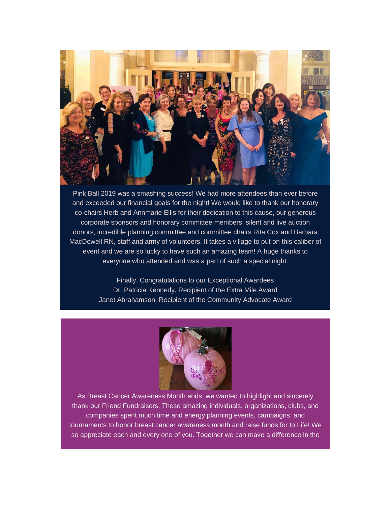

Pink Ball 2019 was a smashing success! We had more attendees than ever before and exceeded our financial goals for the night! We would like to thank our honorary co-chairs Herb and Annmarie Ellis for their dedication to this cause, our generous corporate sponsors and honorary committee members, silent and live auction donors, incredible planning committee and committee chairs Rita Cox and Barbara MacDowell RN, staff and army of volunteers. It takes a village to put on this caliber of event and we are so lucky to have such an amazing team! A huge thanks to everyone who attended and was a part of such a special night.

> Finally, Congratulations to our Exceptional Awardees Dr. Patricia Kennedy, Recipient of the Extra Mile Award Janet Abrahamson, Recipient of the Community Advocate Award



As Breast Cancer Awareness Month ends, we wanted to highlight and sincerely thank our Friend Fundraisers. These amazing individuals, organizations, clubs, and companies spent much time and energy planning events, campaigns, and tournaments to honor breast cancer awareness month and raise funds for to Life! We so appreciate each and every one of you. Together we can make a difference in the